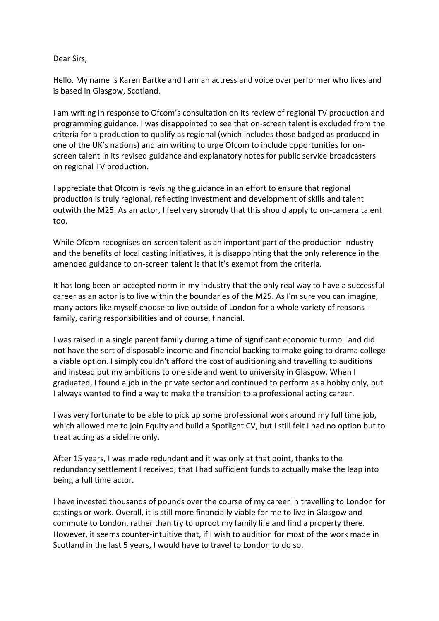## Dear Sirs,

Hello. My name is Karen Bartke and I am an actress and voice over performer who lives and is based in Glasgow, Scotland.

I am writing in response to Ofcom's consultation on its review of regional TV production and programming guidance. I was disappointed to see that on-screen talent is excluded from the criteria for a production to qualify as regional (which includes those badged as produced in one of the UK's nations) and am writing to urge Ofcom to include opportunities for onscreen talent in its revised guidance and explanatory notes for public service broadcasters on regional TV production.

I appreciate that Ofcom is revising the guidance in an effort to ensure that regional production is truly regional, reflecting investment and development of skills and talent outwith the M25. As an actor, I feel very strongly that this should apply to on-camera talent too.

While Ofcom recognises on-screen talent as an important part of the production industry and the benefits of local casting initiatives, it is disappointing that the only reference in the amended guidance to on-screen talent is that it's exempt from the criteria.

It has long been an accepted norm in my industry that the only real way to have a successful career as an actor is to live within the boundaries of the M25. As I'm sure you can imagine, many actors like myself choose to live outside of London for a whole variety of reasons family, caring responsibilities and of course, financial.

I was raised in a single parent family during a time of significant economic turmoil and did not have the sort of disposable income and financial backing to make going to drama college a viable option. I simply couldn't afford the cost of auditioning and travelling to auditions and instead put my ambitions to one side and went to university in Glasgow. When I graduated, I found a job in the private sector and continued to perform as a hobby only, but I always wanted to find a way to make the transition to a professional acting career.

I was very fortunate to be able to pick up some professional work around my full time job, which allowed me to join Equity and build a Spotlight CV, but I still felt I had no option but to treat acting as a sideline only.

After 15 years, I was made redundant and it was only at that point, thanks to the redundancy settlement I received, that I had sufficient funds to actually make the leap into being a full time actor.

I have invested thousands of pounds over the course of my career in travelling to London for castings or work. Overall, it is still more financially viable for me to live in Glasgow and commute to London, rather than try to uproot my family life and find a property there. However, it seems counter-intuitive that, if I wish to audition for most of the work made in Scotland in the last 5 years, I would have to travel to London to do so.